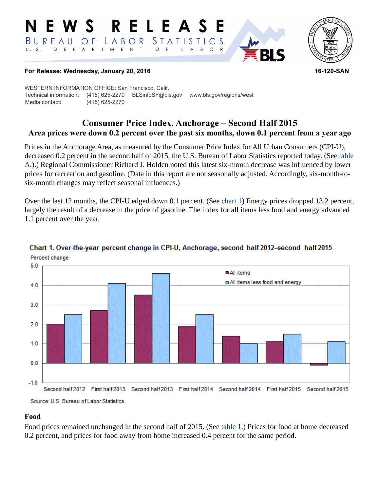#### RELEAS W S *STATISTICS* BUREAU  $\overline{O}$  F LABOR A R T M E N  $\top$ D E P  $\circ$  $B$  $\circ$  $\mathsf{R}$  $\mathsf{L}$ A



#### **For Release: Wednesday, January 20, 2016 16-120-SAN**

WESTERN INFORMATION OFFICE: San Francisco, Calif. Technical information: (415) 625-2270 BLSinfoSF@bls.gov www.bls.gov/regions/west Media contact: (415) 625-2270

# **Consumer Price Index, Anchorage – Second Half 2015 Area prices were down 0.2 percent over the past six months, down 0.1 percent from a year ago**

Prices in the Anchorage Area, as measured by the Consumer Price Index for All Urban Consumers (CPI-U), decreased 0.2 percent in the second half of 2015, the U.S. Bureau of Labor Statistics reported today. (See [table](#page-1-0)  [A](#page-1-0).).) Regional Commissioner Richard J. Holden noted this latest six-month decrease was influenced by lower prices for recreation and gasoline. (Data in this report are not seasonally adjusted. Accordingly, six-month-tosix-month changes may reflect seasonal influences.)

Over the last 12 months, the CPI-U edged down 0.1 percent. (See [chart 1](#page-0-0)) Energy prices dropped 13.2 percent, largely the result of a decrease in the price of gasoline. The index for all items less food and energy advanced 1.1 percent over the year.



## <span id="page-0-0"></span>Chart 1. Over-the-year percent change in CPI-U, Anchorage, second half 2012-second half 2015 Percent change

Source: U.S. Bureau of Labor Statistics.

#### **Food**

Food prices remained unchanged in the second half of 2015. (See [table 1.](#page-3-0)) Prices for food at home decreased 0.2 percent, and prices for food away from home increased 0.4 percent for the same period.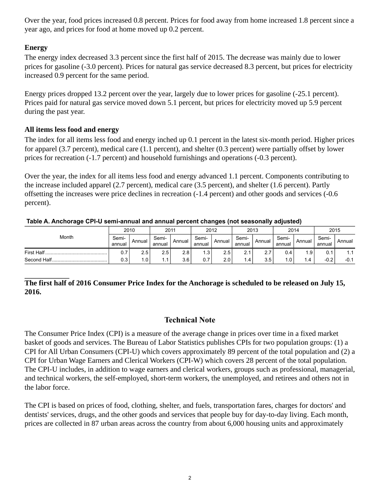Over the year, food prices increased 0.8 percent. Prices for food away from home increased 1.8 percent since a year ago, and prices for food at home moved up 0.2 percent.

# **Energy**

The energy index decreased 3.3 percent since the first half of 2015. The decrease was mainly due to lower prices for gasoline (-3.0 percent). Prices for natural gas service decreased 8.3 percent, but prices for electricity increased 0.9 percent for the same period.

Energy prices dropped 13.2 percent over the year, largely due to lower prices for gasoline (-25.1 percent). Prices paid for natural gas service moved down 5.1 percent, but prices for electricity moved up 5.9 percent during the past year.

## **All items less food and energy**

The index for all items less food and energy inched up 0.1 percent in the latest six-month period. Higher prices for apparel (3.7 percent), medical care (1.1 percent), and shelter (0.3 percent) were partially offset by lower prices for recreation (-1.7 percent) and household furnishings and operations (-0.3 percent).

Over the year, the index for all items less food and energy advanced 1.1 percent. Components contributing to the increase included apparel (2.7 percent), medical care (3.5 percent), and shelter (1.6 percent). Partly offsetting the increases were price declines in recreation (-1.4 percent) and other goods and services (-0.6 percent).

#### <span id="page-1-0"></span>**Table A. Anchorage CPI-U semi-annual and annual percent changes (not seasonally adjusted)**

| Month       | 2010            |                            | 2011            |                  | 2012            |        | 2013            |          | 2014            |               | 2015            |        |
|-------------|-----------------|----------------------------|-----------------|------------------|-----------------|--------|-----------------|----------|-----------------|---------------|-----------------|--------|
|             | Semi-<br>annual | Annual                     | Semi-<br>annual | Annual           | Semi-<br>annual | Annual | Semi-<br>annual | Annual   | Semi-<br>annual | Annual        | Semi-<br>annual | Annual |
| First Half  | 0.7             | 2.5                        | 2.5             | 2.8 <sub>1</sub> | 3.،             | 2.5    | 2.1             | <u>.</u> | 0.4             | 1.9           | υ.              | 1.1    |
| Second Half | 0.3             | $\overline{\phantom{0}}$ . | ا 1.            | 3.6              | 0.7             | 2.0    | 4،              | 3.5      | ا ۱.۵           | $1.4^{\circ}$ | $-0.2$          | $-0.1$ |

# **The first half of 2016 Consumer Price Index for the Anchorage is scheduled to be released on July 15, 2016.**

### **Technical Note**

The Consumer Price Index (CPI) is a measure of the average change in prices over time in a fixed market basket of goods and services. The Bureau of Labor Statistics publishes CPIs for two population groups: (1) a CPI for All Urban Consumers (CPI-U) which covers approximately 89 percent of the total population and (2) a CPI for Urban Wage Earners and Clerical Workers (CPI-W) which covers 28 percent of the total population. The CPI-U includes, in addition to wage earners and clerical workers, groups such as professional, managerial, and technical workers, the self-employed, short-term workers, the unemployed, and retirees and others not in the labor force.

The CPI is based on prices of food, clothing, shelter, and fuels, transportation fares, charges for doctors' and dentists' services, drugs, and the other goods and services that people buy for day-to-day living. Each month, prices are collected in 87 urban areas across the country from about 6,000 housing units and approximately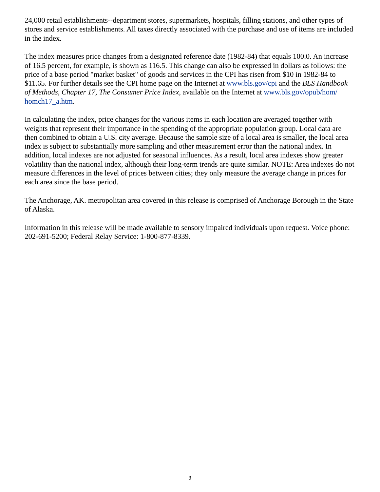24,000 retail establishments--department stores, supermarkets, hospitals, filling stations, and other types of stores and service establishments. All taxes directly associated with the purchase and use of items are included in the index.

The index measures price changes from a designated reference date (1982-84) that equals 100.0. An increase of 16.5 percent, for example, is shown as 116.5. This change can also be expressed in dollars as follows: the price of a base period "market basket" of goods and services in the CPI has risen from \$10 in 1982-84 to \$11.65. For further details see the CPI home page on the Internet at [www.bls.gov/cpi](https://www.bls.gov/cpi/) and the *BLS Handbook of Methods, Chapter 17, The Consumer Price Index*, available on the Internet at [www.bls.gov/opub/hom/](https://www.bls.gov/opub/hom/homch17_a.htm) [homch17\\_a.htm](https://www.bls.gov/opub/hom/homch17_a.htm).

In calculating the index, price changes for the various items in each location are averaged together with weights that represent their importance in the spending of the appropriate population group. Local data are then combined to obtain a U.S. city average. Because the sample size of a local area is smaller, the local area index is subject to substantially more sampling and other measurement error than the national index. In addition, local indexes are not adjusted for seasonal influences. As a result, local area indexes show greater volatility than the national index, although their long-term trends are quite similar. NOTE: Area indexes do not measure differences in the level of prices between cities; they only measure the average change in prices for each area since the base period.

The Anchorage, AK. metropolitan area covered in this release is comprised of Anchorage Borough in the State of Alaska.

Information in this release will be made available to sensory impaired individuals upon request. Voice phone: 202-691-5200; Federal Relay Service: 1-800-877-8339.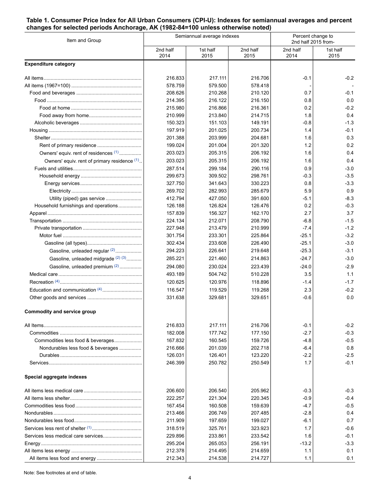#### <span id="page-3-0"></span>**Table 1. Consumer Price Index for All Urban Consumers (CPI-U): Indexes for semiannual averages and percent changes for selected periods Anchorage, AK (1982-84=100 unless otherwise noted)**

| Item and Group                                |                  | Semiannual average indexes | Percent change to<br>2nd half 2015 from- |                  |                  |
|-----------------------------------------------|------------------|----------------------------|------------------------------------------|------------------|------------------|
|                                               | 2nd half<br>2014 | 1st half<br>2015           | 2nd half<br>2015                         | 2nd half<br>2014 | 1st half<br>2015 |
| <b>Expenditure category</b>                   |                  |                            |                                          |                  |                  |
|                                               | 216.833          | 217.111                    | 216.706                                  | $-0.1$           | $-0.2$           |
|                                               | 578.759          | 579.500                    | 578.418                                  |                  |                  |
|                                               | 208.626          | 210.268                    | 210.120                                  | 0.7              | -0.1             |
|                                               | 214.395          | 216.122                    | 216.150                                  | 0.8              | 0.0              |
|                                               | 215.980          | 216.866                    | 216.361                                  | 0.2              | $-0.2$           |
|                                               | 210.999          | 213.840                    | 214.715                                  | 1.8              | 0.4              |
|                                               | 150.323          | 151.103                    | 149.191                                  | $-0.8$           | $-1.3$           |
|                                               | 197.919          | 201.025                    | 200.734                                  | 1.4              | -0.1             |
|                                               | 201.388          | 203.999                    | 204.681                                  | 1.6              | 0.3              |
|                                               | 199.024          | 201.004                    | 201.320                                  | 1.2              | 0.2              |
| Owners' equiv. rent of residences (1)         | 203.023          | 205.315                    | 206.192                                  | 1.6              | 0.4              |
| Owners' equiv. rent of primary residence (1). | 203.023          | 205.315                    | 206.192                                  | 1.6              | 0.4              |
|                                               | 287.514          | 299.184                    | 290.116                                  | 0.9              | $-3.0$           |
|                                               | 299.673          | 309.502                    | 298.761                                  | -0.3             | $-3.5$           |
|                                               | 327.750          | 341.643                    | 330.223                                  | 0.8              | $-3.3$           |
|                                               | 269.702          | 282.993                    | 285.679                                  | 5.9              | 0.9              |
| Utility (piped) gas service                   | 412.794          | 427.050                    | 391.600                                  | $-5.1$           | $-8.3$           |
| Household furnishings and operations          | 126.188          | 126.824                    | 126.476                                  | 0.2              | -0.3             |
|                                               | 157.839          | 156.327                    | 162.170                                  | 2.7              | 3.7              |
|                                               | 224.134          | 212.071                    | 208.790                                  | $-6.8$           | $-1.5$           |
|                                               | 227.948          | 213.479                    | 210.999                                  | $-7.4$           | $-1.2$           |
|                                               | 301.754          | 233.301                    | 225.864                                  | $-25.1$          | $-3.2$           |
|                                               | 302.434          | 233.608                    | 226.490                                  | $-25.1$          | $-3.0$           |
| Gasoline, unleaded regular (2)                | 294.223          | 226.641                    | 219.648                                  | $-25.3$          | $-3.1$           |
| Gasoline, unleaded midgrade (2)(3)            | 285.221          | 221.460                    | 214.863                                  | $-24.7$          | $-3.0$           |
| Gasoline, unleaded premium (2)                | 294.080          | 230.024                    | 223.439                                  | $-24.0$          | $-2.9$           |
|                                               | 493.189          | 504.742                    | 510.228                                  | 3.5              | 1.1              |
|                                               | 120.625          | 120.976                    | 118.896                                  | $-1.4$           | $-1.7$           |
| Education and communication <sup>(4)</sup>    | 116.547          | 119.529                    | 119.268                                  | 2.3              | $-0.2$           |
|                                               | 331.638          | 329.681                    | 329.651                                  | $-0.6$           | 0.0              |
| <b>Commodity and service group</b>            |                  |                            |                                          |                  |                  |
|                                               | 216.833          | 217.111                    | 216.706                                  | $-0.1$           | -0.2             |
|                                               | 182.008          | 177.742                    | 177.150                                  | $-2.7$           | $-0.3$           |
| Commodities less food & beverages             | 167.832          | 160.545                    | 159.726                                  | $-4.8$           | $-0.5$           |
| Nondurables less food & beverages             | 216.666          | 201.039                    | 202.718                                  | $-6.4$           | 0.8              |
|                                               | 126.031          | 126.401                    | 123.220                                  | $-2.2$           | $-2.5$           |
|                                               | 246.399          | 250.782                    | 250.549                                  | 1.7              | $-0.1$           |
| Special aggregate indexes                     |                  |                            |                                          |                  |                  |
|                                               | 206.600          | 206.540                    | 205.962                                  | $-0.3$           | $-0.3$           |
|                                               | 222.257          | 221.304                    | 220.345                                  | $-0.9$           | $-0.4$           |
|                                               | 167.454          | 160.508                    | 159.639                                  | $-4.7$           | -0.5             |
|                                               | 213.466          | 206.749                    | 207.485                                  | $-2.8$           | 0.4              |
|                                               | 211.909          | 197.659                    | 199.027                                  | $-6.1$           | 0.7              |
|                                               | 318.519          | 325.761                    | 323.923                                  | 1.7              | -0.6             |
|                                               | 229.896          | 233.861                    | 233.542                                  | 1.6              | $-0.1$           |
|                                               | 295.204          | 265.053                    | 256.191                                  | $-13.2$          | $-3.3$           |
|                                               | 212.378          | 214.495                    | 214.659                                  | 1.1              | 0.1              |
|                                               | 212.343          | 214.538                    | 214.727                                  | 1.1              | 0.1              |

Note: See footnotes at end of table.